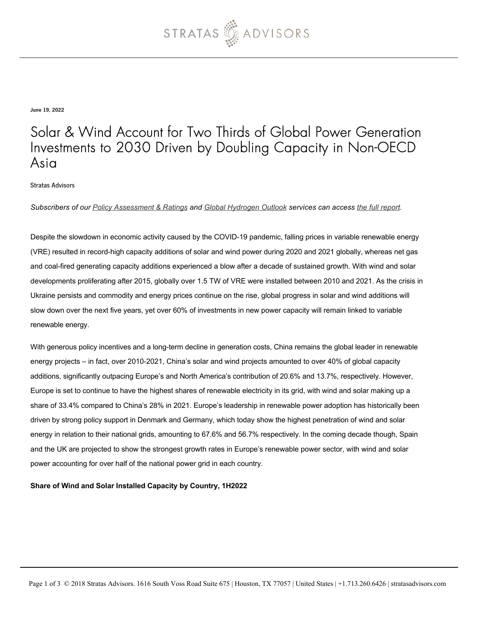

June 19, 2022

### Solar & Wind Account for Two Thirds of Global Power Generation Investments to 2030 Driven by Doubling Capacity in Non-OECD Asia

Stratas Advisors

*Subscribers of our [Policy Assessment & Ratings](https://stratasadvisors.com/Services/Policy-Assessment-and-Ratings) and [Global Hydrogen Outlook](https://stratasadvisors.com/Services/Global-Hydrogen-Outlook) services can access [the full report.](https://stratasadvisors.com/Member/Assessment/PAR/06202022-World-Power-Capacity-2030)* 

Despite the slowdown in economic activity caused by the COVID-19 pandemic, falling prices in variable renewable energy (VRE) resulted in record-high capacity additions of solar and wind power during 2020 and 2021 globally, whereas net gas and coal-fired generating capacity additions experienced a blow after a decade of sustained growth. With wind and solar developments proliferating after 2015, globally over 1.5 TW of VRE were installed between 2010 and 2021. As the crisis in Ukraine persists and commodity and energy prices continue on the rise, global progress in solar and wind additions will slow down over the next five years, yet over 60% of investments in new power capacity will remain linked to variable renewable energy.

With generous policy incentives and a long-term decline in generation costs, China remains the global leader in renewable energy projects – in fact, over 2010-2021, China's solar and wind projects amounted to over 40% of global capacity additions, significantly outpacing Europe's and North America's contribution of 20.6% and 13.7%, respectively. However, Europe is set to continue to have the highest shares of renewable electricity in its grid, with wind and solar making up a share of 33.4% compared to China's 28% in 2021. Europe's leadership in renewable power adoption has historically been driven by strong policy support in Denmark and Germany, which today show the highest penetration of wind and solar energy in relation to their national grids, amounting to 67.6% and 56.7% respectively. In the coming decade though, Spain and the UK are projected to show the strongest growth rates in Europe's renewable power sector, with wind and solar power accounting for over half of the national power grid in each country.

#### **Share of Wind and Solar Installed Capacity by Country, 1H2022**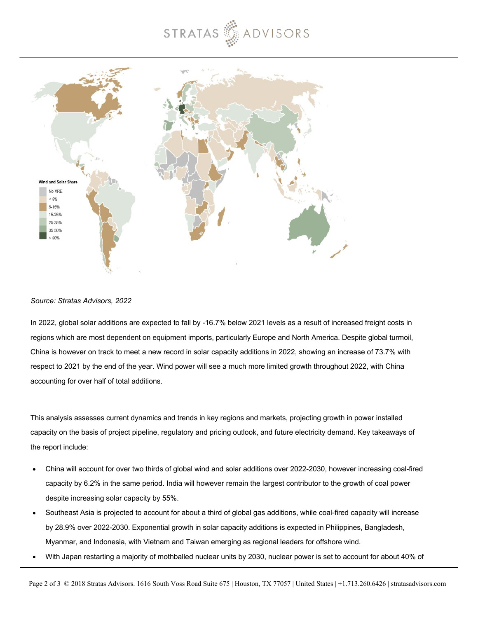## STRATAS ADVISORS



#### *Source: Stratas Advisors, 2022*

In 2022, global solar additions are expected to fall by -16.7% below 2021 levels as a result of increased freight costs in regions which are most dependent on equipment imports, particularly Europe and North America. Despite global turmoil, China is however on track to meet a new record in solar capacity additions in 2022, showing an increase of 73.7% with respect to 2021 by the end of the year. Wind power will see a much more limited growth throughout 2022, with China accounting for over half of total additions.

This analysis assesses current dynamics and trends in key regions and markets, projecting growth in power installed capacity on the basis of project pipeline, regulatory and pricing outlook, and future electricity demand. Key takeaways of the report include:

- China will account for over two thirds of global wind and solar additions over 2022-2030, however increasing coal-fired capacity by 6.2% in the same period. India will however remain the largest contributor to the growth of coal power despite increasing solar capacity by 55%.
- Southeast Asia is projected to account for about a third of global gas additions, while coal-fired capacity will increase by 28.9% over 2022-2030. Exponential growth in solar capacity additions is expected in Philippines, Bangladesh, Myanmar, and Indonesia, with Vietnam and Taiwan emerging as regional leaders for offshore wind.
- With Japan restarting a majority of mothballed nuclear units by 2030, nuclear power is set to account for about 40% of